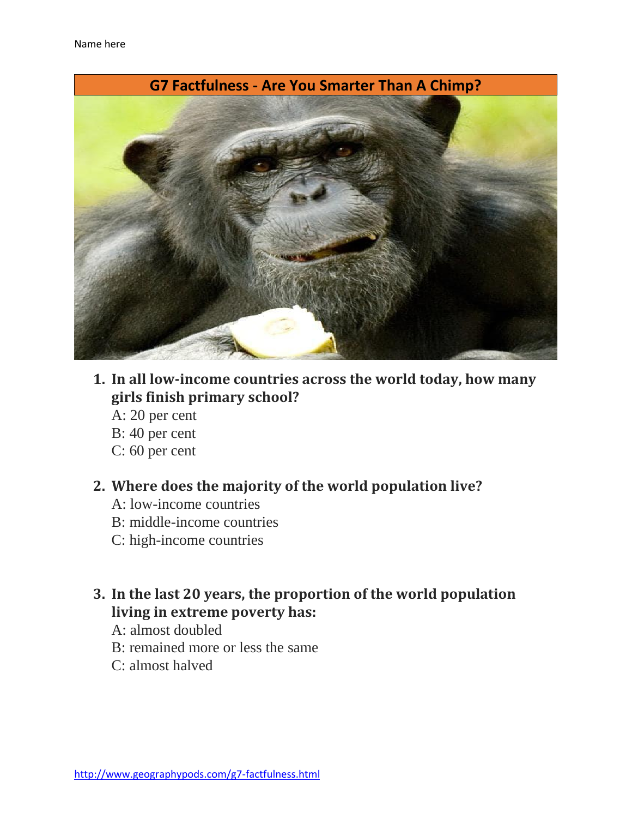

- **1. In all low-income countries across the world today, how many girls finish primary school?**
	- A: 20 per cent
	- B: 40 per cent
	- C: 60 per cent

#### **2. Where does the majority of the world population live?**

- A: low-income countries
- B: middle-income countries
- C: high-income countries
- **3. In the last 20 years, the proportion of the world population living in extreme poverty has:**
	- A: almost doubled
	- B: remained more or less the same
	- C: almost halved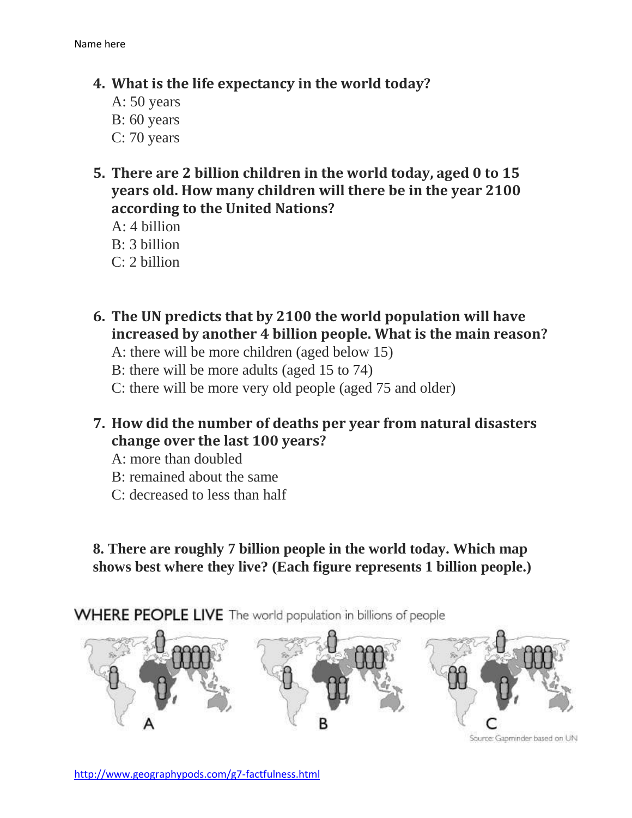### **4. What is the life expectancy in the world today?**

- A: 50 years B: 60 years C: 70 years
- **5. There are 2 billion children in the world today, aged 0 to 15 years old. How many children will there be in the year 2100 according to the United Nations?**

A: 4 billion B: 3 billion C: 2 billion

- **6. The UN predicts that by 2100 the world population will have increased by another 4 billion people. What is the main reason?**
	- A: there will be more children (aged below 15)
	- B: there will be more adults (aged 15 to 74)
	- C: there will be more very old people (aged 75 and older)
- **7. How did the number of deaths per year from natural disasters change over the last 100 years?**
	- A: more than doubled
	- B: remained about the same
	- C: decreased to less than half

**8. There are roughly 7 billion people in the world today. Which map shows best where they live? (Each figure represents 1 billion people.)**

WHERE PEOPLE LIVE The world population in billions of people



Source: Gapminder based on UN